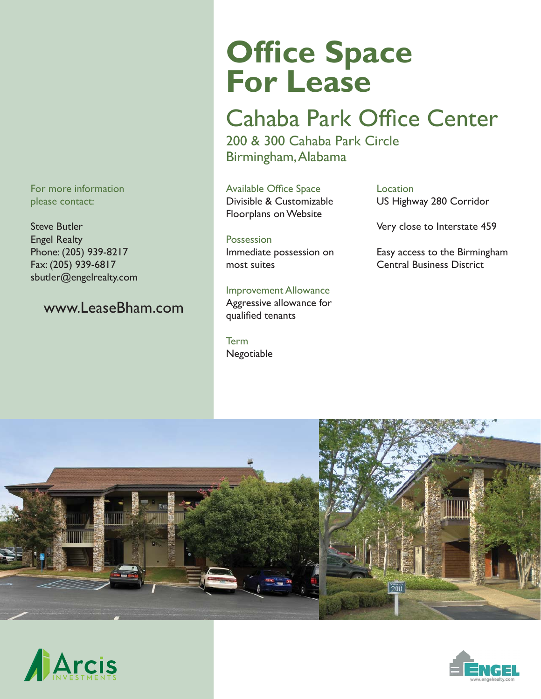For more information please contact:

Steve Butler Engel Realty Phone: (205) 939-8217 Fax: (205) 939-6817 sbutler@engelrealty.com

#### www.LeaseBham.com

# **Office Space For Lease**

## Cahaba Park Office Center

200 & 300 Cahaba Park Circle Birmingham, Alabama

Available Office Space Divisible & Customizable Floorplans on Website

**Possession** Immediate possession on most suites

Improvement Allowance Aggressive allowance for qualified tenants

Term Negotiable Location US Highway 280 Corridor

Very close to Interstate 459

Easy access to the Birmingham Central Business District





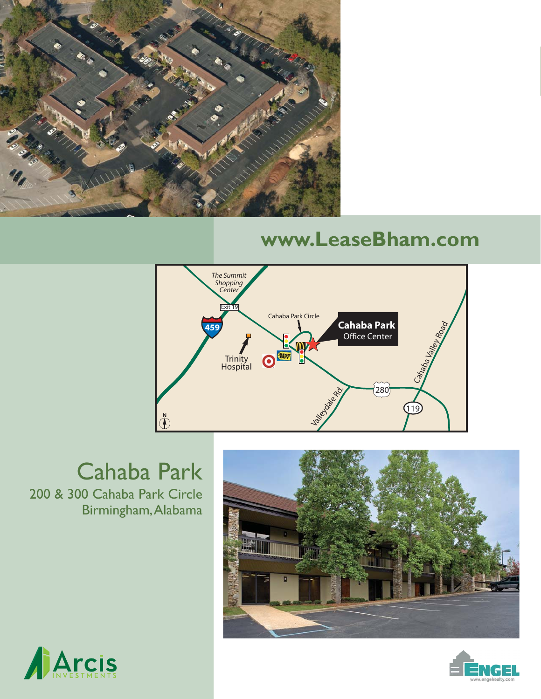

## **www.LeaseBham.com**



### 200 & 300 Cahaba Park Circle Birmingham, Alabama Cahaba Park

播曲



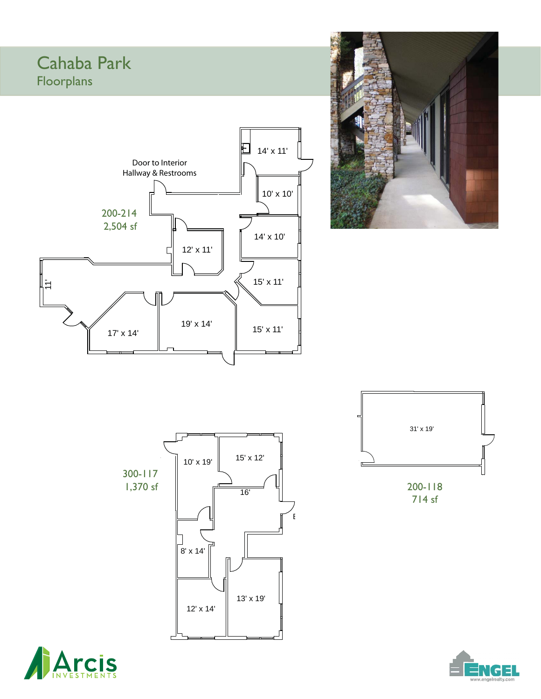#### Cahaba Park Floorplans









714 sf